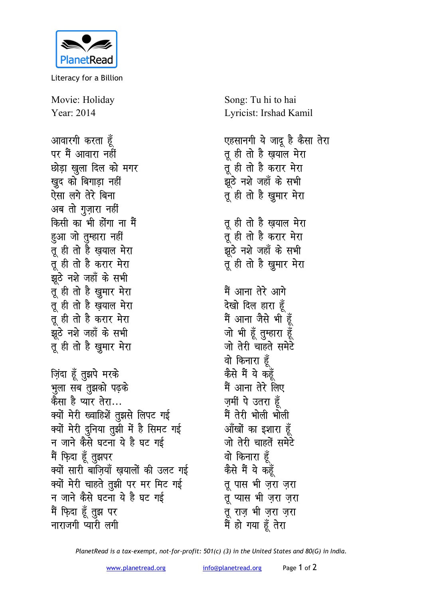

Literacy for a Billion

Movie: Holiday Year: 2014

आवारगी करता हूँ पर मैं आवारा नहीं छोड़ा खुला दिल को मगर खुद को बिगाड़ा नहीं ऐसा लगे तेरे बिना अब तो गुज़ारा नहीं किसी का भी होंगा ना मैं हूआ जो तुम्हारा नहीं तू ही तो है ख़याल मेरा तू ही तो है करार मेरा झुठे नशे जहाँ के सभी तू ही तो है खुमार मेरा तू ही तो है ख़याल मेरा तू ही तो है करार मेरा झूठे नशे जहाँ के सभी तू ही तो है खुमार मेरा ज़िंदा हूँ तुझपे मरके भुला सब तुझको पढ़के कैसा है प्यार तेरा… क्यों मेरी ख्वाहिशें तुझसे लिपट गई क्यों मेरी दुनिया तुझी में है सिमट गई न जाने कैसे घटना ये है घट गई मैं फ़िदा हूँ तुझपर क्यों सारी बाजियाँ खयालों की उलट गई क्यों मेरी चाहते तुझी पर मर मिट गई न जाने कैसे घटना ये है घट गई मैं फ़िदा हूँ तुझ पर नाराजगी प्यारी लगी

Song: Tu hi to hai Lyricist: Irshad Kamil

एहसानगी ये जादू है कैसा तेरा तू ही तो है ख़याल मेरा तू ही तो है करार मेरा झूठे नशे जहाँ के सभी तू ही तो है ख़ुमार मेरा त ही तो है खयाल मेरा तू ही तो है करार मेरा झूठे नशे जहाँ के सभी तू ही तो है खुमार मेरा मैं आना तेरे आगे देखो दिल हारा हूँ मैं आना जैसे भी हूँ जो भी हूँ तुम्हारा हूँ जो तेरी चाहते समेटे वो किनारा हूँ कैसे मैं ये कहूँ मैं आना तेरे लिए ज़मीं पे उतरा हूँ मैं तेरी भोली भोली आँखों का इशारा हूँ जो तेरी चाहतें समेटे वो किनारा हूँ कैसे मैं ये कहँ तू पास भी ज़रा ज़रा तू प्यास भी ज़रा ज़रा तू राज़ भी ज़रा ज़रा मैं हो गया हूँ तेरा

PlanetRead is a tax-exempt, not-for-profit: 501(c) (3) in the United States and 80(G) in India.